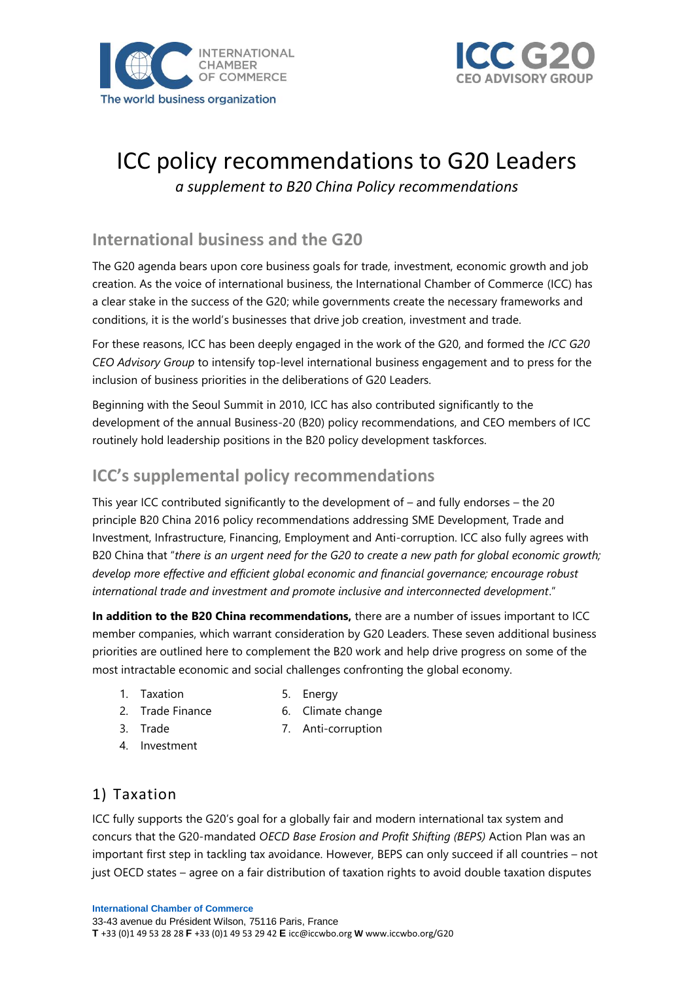



# ICC policy recommendations to G20 Leaders

*a supplement to B20 China Policy recommendations*

# **International business and the G20**

The G20 agenda bears upon core business goals for trade, investment, economic growth and job creation. As the voice of international business, the International Chamber of Commerce (ICC) has a clear stake in the success of the G20; while governments create the necessary frameworks and conditions, it is the world's businesses that drive job creation, investment and trade.

For these reasons, ICC has been deeply engaged in the work of the G20, and formed the *ICC G20 CEO Advisory Group* to intensify top-level international business engagement and to press for the inclusion of business priorities in the deliberations of G20 Leaders.

Beginning with the Seoul Summit in 2010, ICC has also contributed significantly to the development of the annual Business-20 (B20) policy recommendations, and CEO members of ICC routinely hold leadership positions in the B20 policy development taskforces.

## **ICC's supplemental policy recommendations**

This year ICC contributed significantly to the development of – and fully endorses – the 20 principle B20 China 2016 policy recommendations addressing SME Development, Trade and Investment, Infrastructure, Financing, Employment and Anti-corruption. ICC also fully agrees with B20 China that "*there is an urgent need for the G20 to create a new path for global economic growth; develop more effective and efficient global economic and financial governance; encourage robust international trade and investment and promote inclusive and interconnected development*."

**In addition to the B20 China recommendations,** there are a number of issues important to ICC member companies, which warrant consideration by G20 Leaders. These seven additional business priorities are outlined here to complement the B20 work and help drive progress on some of the most intractable economic and social challenges confronting the global economy.

- 1. Taxation
- 5. Energy
- 2. Trade Finance
- 6. Climate change
- 3. Trade
- 7. Anti-corruption
- 4. Investment

## 1) Taxation

ICC fully supports the G20's goal for a globally fair and modern international tax system and concurs that the G20-mandated *OECD Base Erosion and Profit Shifting (BEPS)* Action Plan was an important first step in tackling tax avoidance. However, BEPS can only succeed if all countries – not just OECD states – agree on a fair distribution of taxation rights to avoid double taxation disputes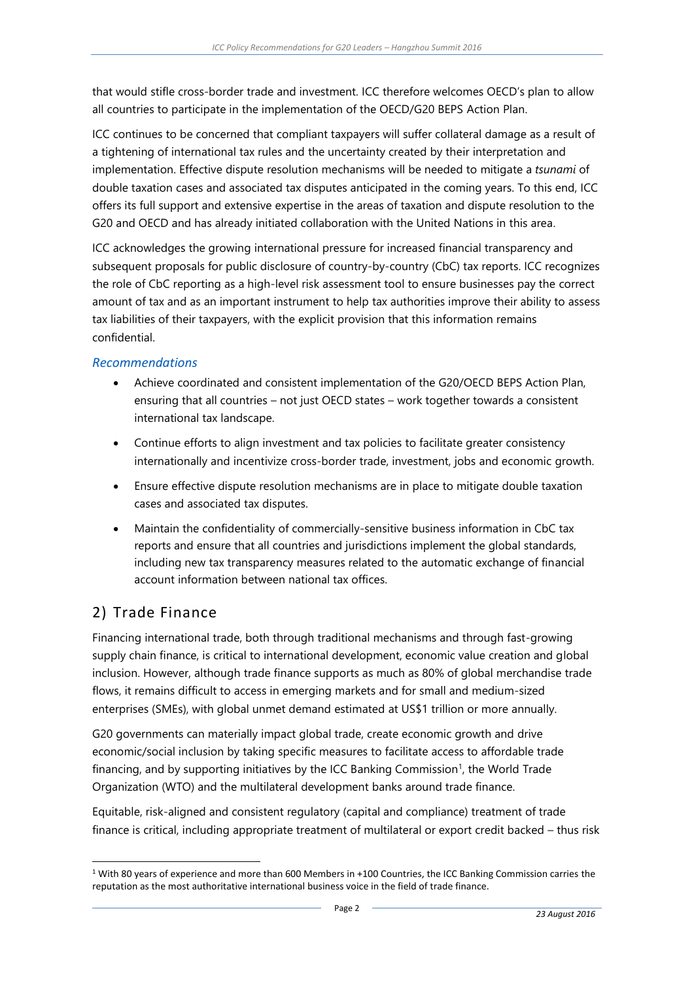that would stifle cross-border trade and investment. ICC therefore welcomes OECD's plan to allow all countries to participate in the implementation of the OECD/G20 BEPS Action Plan.

ICC continues to be concerned that compliant taxpayers will suffer collateral damage as a result of a tightening of international tax rules and the uncertainty created by their interpretation and implementation. Effective dispute resolution mechanisms will be needed to mitigate a *tsunami* of double taxation cases and associated tax disputes anticipated in the coming years. To this end, ICC offers its full support and extensive expertise in the areas of taxation and dispute resolution to the G20 and OECD and has already initiated collaboration with the United Nations in this area.

ICC acknowledges the growing international pressure for increased financial transparency and subsequent proposals for public disclosure of country-by-country (CbC) tax reports. ICC recognizes the role of CbC reporting as a high-level risk assessment tool to ensure businesses pay the correct amount of tax and as an important instrument to help tax authorities improve their ability to assess tax liabilities of their taxpayers, with the explicit provision that this information remains confidential.

#### *Recommendations*

- Achieve coordinated and consistent implementation of the G20/OECD BEPS Action Plan, ensuring that all countries – not just OECD states – work together towards a consistent international tax landscape.
- Continue efforts to align investment and tax policies to facilitate greater consistency internationally and incentivize cross-border trade, investment, jobs and economic growth.
- Ensure effective dispute resolution mechanisms are in place to mitigate double taxation cases and associated tax disputes.
- Maintain the confidentiality of commercially-sensitive business information in CbC tax reports and ensure that all countries and jurisdictions implement the global standards, including new tax transparency measures related to the automatic exchange of financial account information between national tax offices.

# 2) Trade Finance

l

Financing international trade, both through traditional mechanisms and through fast-growing supply chain finance, is critical to international development, economic value creation and global inclusion. However, although trade finance supports as much as 80% of global merchandise trade flows, it remains difficult to access in emerging markets and for small and medium-sized enterprises (SMEs), with global unmet demand estimated at US\$1 trillion or more annually.

G20 governments can materially impact global trade, create economic growth and drive economic/social inclusion by taking specific measures to facilitate access to affordable trade financing, and by supporting initiatives by the ICC Banking Commission<sup>1</sup>, the World Trade Organization (WTO) and the multilateral development banks around trade finance.

Equitable, risk-aligned and consistent regulatory (capital and compliance) treatment of trade finance is critical, including appropriate treatment of multilateral or export credit backed – thus risk

<sup>1</sup> With 80 years of experience and more than 600 Members in +100 Countries, the ICC Banking Commission carries the reputation as the most authoritative international business voice in the field of trade finance.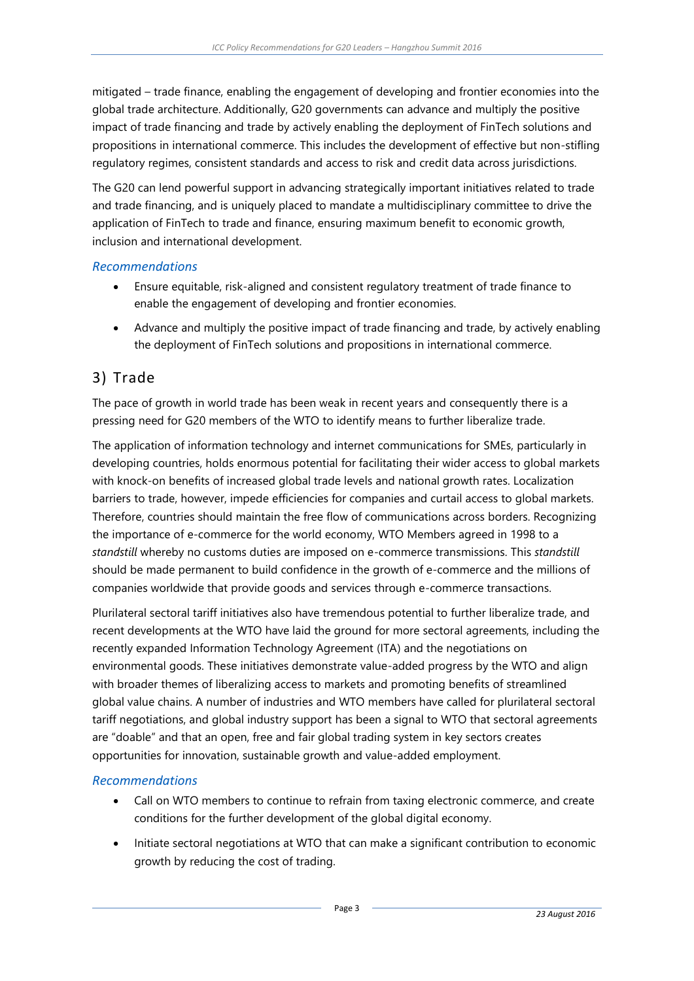mitigated – trade finance, enabling the engagement of developing and frontier economies into the global trade architecture. Additionally, G20 governments can advance and multiply the positive impact of trade financing and trade by actively enabling the deployment of FinTech solutions and propositions in international commerce. This includes the development of effective but non-stifling regulatory regimes, consistent standards and access to risk and credit data across jurisdictions.

The G20 can lend powerful support in advancing strategically important initiatives related to trade and trade financing, and is uniquely placed to mandate a multidisciplinary committee to drive the application of FinTech to trade and finance, ensuring maximum benefit to economic growth, inclusion and international development.

#### *Recommendations*

- Ensure equitable, risk-aligned and consistent regulatory treatment of trade finance to enable the engagement of developing and frontier economies.
- Advance and multiply the positive impact of trade financing and trade, by actively enabling the deployment of FinTech solutions and propositions in international commerce.

#### 3) Trade

The pace of growth in world trade has been weak in recent years and consequently there is a pressing need for G20 members of the WTO to identify means to further liberalize trade.

The application of information technology and internet communications for SMEs, particularly in developing countries, holds enormous potential for facilitating their wider access to global markets with knock-on benefits of increased global trade levels and national growth rates. Localization barriers to trade, however, impede efficiencies for companies and curtail access to global markets. Therefore, countries should maintain the free flow of communications across borders. Recognizing the importance of e-commerce for the world economy, WTO Members agreed in 1998 to a *standstill* whereby no customs duties are imposed on e-commerce transmissions. This *standstill* should be made permanent to build confidence in the growth of e-commerce and the millions of companies worldwide that provide goods and services through e-commerce transactions.

Plurilateral sectoral tariff initiatives also have tremendous potential to further liberalize trade, and recent developments at the WTO have laid the ground for more sectoral agreements, including the recently expanded Information Technology Agreement (ITA) and the negotiations on environmental goods. These initiatives demonstrate value-added progress by the WTO and align with broader themes of liberalizing access to markets and promoting benefits of streamlined global value chains. A number of industries and WTO members have called for plurilateral sectoral tariff negotiations, and global industry support has been a signal to WTO that sectoral agreements are "doable" and that an open, free and fair global trading system in key sectors creates opportunities for innovation, sustainable growth and value-added employment.

#### *Recommendations*

- Call on WTO members to continue to refrain from taxing electronic commerce, and create conditions for the further development of the global digital economy.
- Initiate sectoral negotiations at WTO that can make a significant contribution to economic growth by reducing the cost of trading.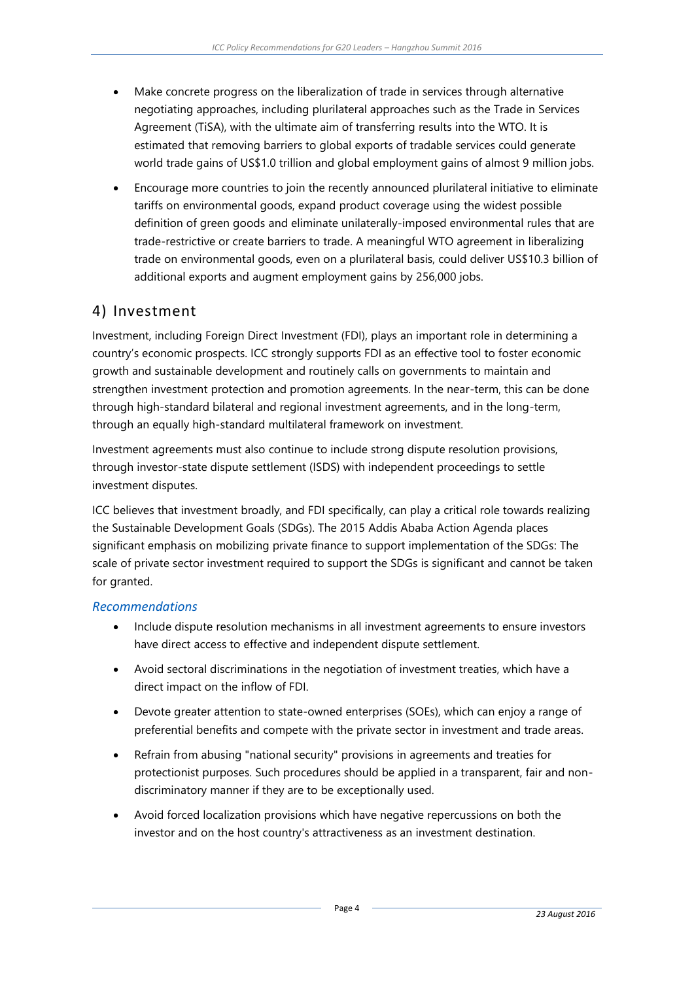- Make concrete progress on the liberalization of trade in services through alternative negotiating approaches, including plurilateral approaches such as the Trade in Services Agreement (TiSA), with the ultimate aim of transferring results into the WTO. It is estimated that removing barriers to global exports of tradable services could generate world trade gains of US\$1.0 trillion and global employment gains of almost 9 million jobs.
- Encourage more countries to join the recently announced plurilateral initiative to eliminate tariffs on environmental goods, expand product coverage using the widest possible definition of green goods and eliminate unilaterally-imposed environmental rules that are trade-restrictive or create barriers to trade. A meaningful WTO agreement in liberalizing trade on environmental goods, even on a plurilateral basis, could deliver US\$10.3 billion of additional exports and augment employment gains by 256,000 jobs.

## 4) Investment

Investment, including Foreign Direct Investment (FDI), plays an important role in determining a country's economic prospects. ICC strongly supports FDI as an effective tool to foster economic growth and sustainable development and routinely calls on governments to maintain and strengthen investment protection and promotion agreements. In the near-term, this can be done through high-standard bilateral and regional investment agreements, and in the long-term, through an equally high-standard multilateral framework on investment.

Investment agreements must also continue to include strong dispute resolution provisions, through investor-state dispute settlement (ISDS) with independent proceedings to settle investment disputes.

ICC believes that investment broadly, and FDI specifically, can play a critical role towards realizing the Sustainable Development Goals (SDGs). The 2015 Addis Ababa Action Agenda places significant emphasis on mobilizing private finance to support implementation of the SDGs: The scale of private sector investment required to support the SDGs is significant and cannot be taken for granted.

#### *Recommendations*

- Include dispute resolution mechanisms in all investment agreements to ensure investors have direct access to effective and independent dispute settlement.
- Avoid sectoral discriminations in the negotiation of investment treaties, which have a direct impact on the inflow of FDI.
- Devote greater attention to state-owned enterprises (SOEs), which can enjoy a range of preferential benefits and compete with the private sector in investment and trade areas.
- Refrain from abusing "national security" provisions in agreements and treaties for protectionist purposes. Such procedures should be applied in a transparent, fair and nondiscriminatory manner if they are to be exceptionally used.
- Avoid forced localization provisions which have negative repercussions on both the investor and on the host country's attractiveness as an investment destination.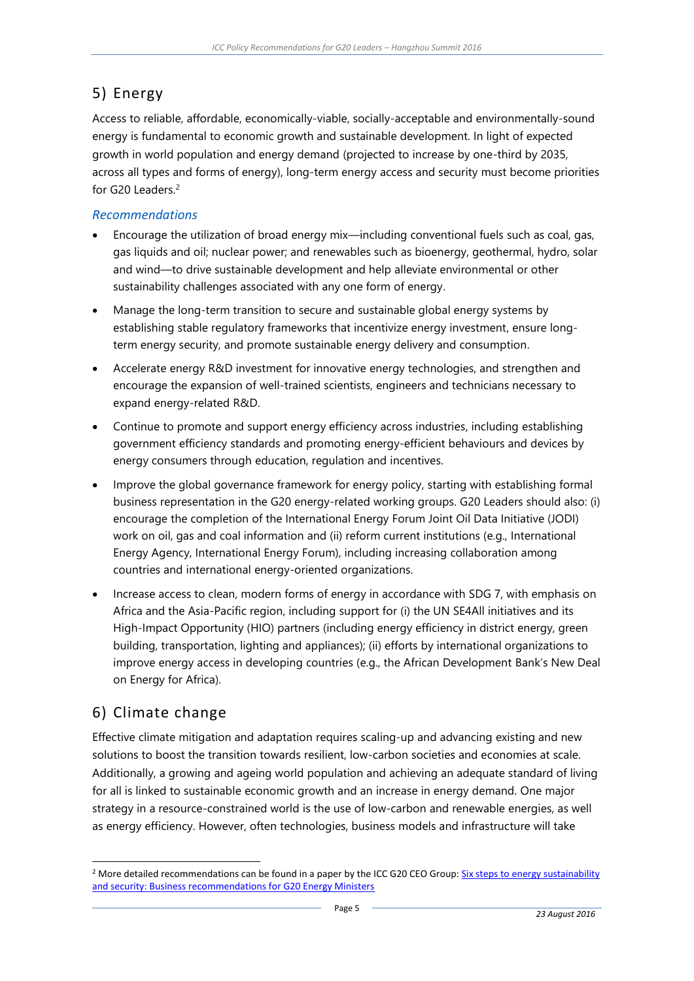## 5) Energy

Access to reliable, affordable, economically-viable, socially-acceptable and environmentally-sound energy is fundamental to economic growth and sustainable development. In light of expected growth in world population and energy demand (projected to increase by one-third by 2035, across all types and forms of energy), long-term energy access and security must become priorities for G20 Leaders.<sup>2</sup>

#### *Recommendations*

- Encourage the utilization of broad energy mix—including conventional fuels such as coal, gas, gas liquids and oil; nuclear power; and renewables such as bioenergy, geothermal, hydro, solar and wind—to drive sustainable development and help alleviate environmental or other sustainability challenges associated with any one form of energy.
- Manage the long-term transition to secure and sustainable global energy systems by establishing stable regulatory frameworks that incentivize energy investment, ensure longterm energy security, and promote sustainable energy delivery and consumption.
- Accelerate energy R&D investment for innovative energy technologies, and strengthen and encourage the expansion of well-trained scientists, engineers and technicians necessary to expand energy-related R&D.
- Continue to promote and support energy efficiency across industries, including establishing government efficiency standards and promoting energy-efficient behaviours and devices by energy consumers through education, regulation and incentives.
- Improve the global governance framework for energy policy, starting with establishing formal business representation in the G20 energy-related working groups. G20 Leaders should also: (i) encourage the completion of the International Energy Forum Joint Oil Data Initiative (JODI) work on oil, gas and coal information and (ii) reform current institutions (e.g., International Energy Agency, International Energy Forum), including increasing collaboration among countries and international energy-oriented organizations.
- Increase access to clean, modern forms of energy in accordance with SDG 7, with emphasis on Africa and the Asia-Pacific region, including support for (i) the UN SE4All initiatives and its High-Impact Opportunity (HIO) partners (including energy efficiency in district energy, green building, transportation, lighting and appliances); (ii) efforts by international organizations to improve energy access in developing countries (e.g., the African Development Bank's New Deal on Energy for Africa).

# 6) Climate change

l

Effective climate mitigation and adaptation requires scaling-up and advancing existing and new solutions to boost the transition towards resilient, low-carbon societies and economies at scale. Additionally, a growing and ageing world population and achieving an adequate standard of living for all is linked to sustainable economic growth and an increase in energy demand. One major strategy in a resource-constrained world is the use of low-carbon and renewable energies, as well as energy efficiency. However, often technologies, business models and infrastructure will take

<sup>&</sup>lt;sup>2</sup> More detailed recommendations can be found in a paper by the ICC G20 CEO Group: Six steps to energy sustainability [and security: Business recommendations for G20 Energy Ministers](http://iccwbo.org/Global-influence/G20/ICC-and-G8-G20/ICC-shares-recommendations-to-G20-Energy-Ministerial/)